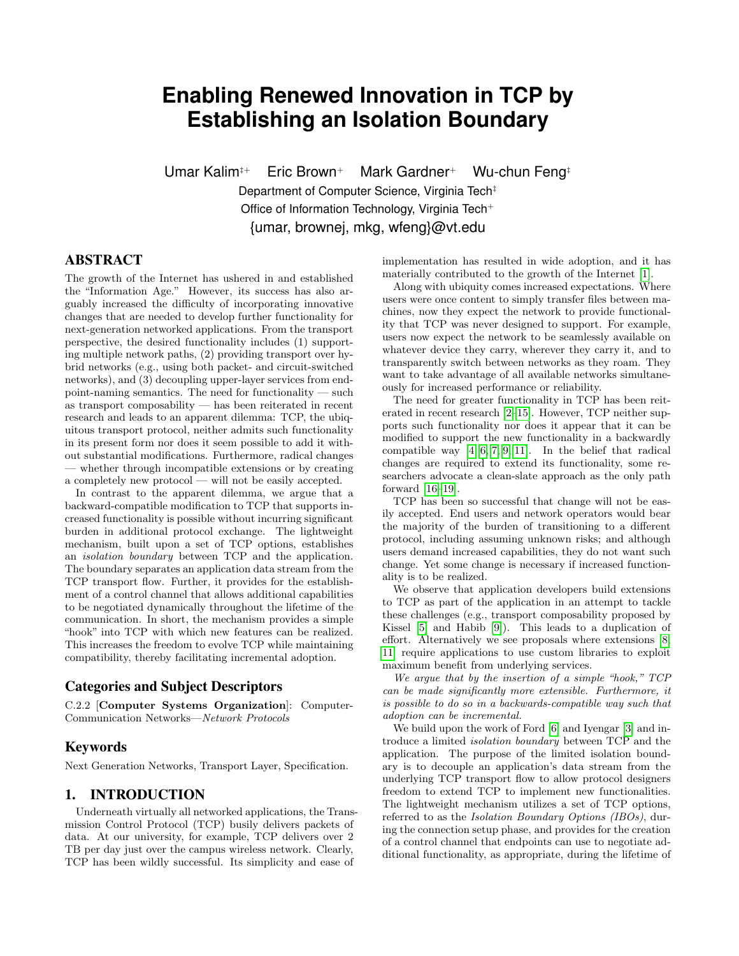# **Enabling Renewed Innovation in TCP by Establishing an Isolation Boundary**

Umar Kalim<sup>‡+</sup> Eric Brown<sup>+</sup> Mark Gardner<sup>+</sup> Wu-chun Feng<sup>‡</sup> Department of Computer Science, Virginia Tech‡ Office of Information Technology, Virginia Tech<sup>+</sup> {umar, brownej, mkg, wfeng}@vt.edu

# ABSTRACT

The growth of the Internet has ushered in and established the "Information Age." However, its success has also arguably increased the difficulty of incorporating innovative changes that are needed to develop further functionality for next-generation networked applications. From the transport perspective, the desired functionality includes (1) supporting multiple network paths, (2) providing transport over hybrid networks (e.g., using both packet- and circuit-switched networks), and (3) decoupling upper-layer services from endpoint-naming semantics. The need for functionality — such as transport composability — has been reiterated in recent research and leads to an apparent dilemma: TCP, the ubiquitous transport protocol, neither admits such functionality in its present form nor does it seem possible to add it without substantial modifications. Furthermore, radical changes — whether through incompatible extensions or by creating a completely new protocol — will not be easily accepted.

In contrast to the apparent dilemma, we argue that a backward-compatible modification to TCP that supports increased functionality is possible without incurring significant burden in additional protocol exchange. The lightweight mechanism, built upon a set of TCP options, establishes an isolation boundary between TCP and the application. The boundary separates an application data stream from the TCP transport flow. Further, it provides for the establishment of a control channel that allows additional capabilities to be negotiated dynamically throughout the lifetime of the communication. In short, the mechanism provides a simple "hook" into TCP with which new features can be realized. This increases the freedom to evolve TCP while maintaining compatibility, thereby facilitating incremental adoption.

# Categories and Subject Descriptors

C.2.2 [Computer Systems Organization]: Computer-Communication Networks—Network Protocols

# Keywords

Next Generation Networks, Transport Layer, Specification.

## 1. INTRODUCTION

Underneath virtually all networked applications, the Transmission Control Protocol (TCP) busily delivers packets of data. At our university, for example, TCP delivers over 2 TB per day just over the campus wireless network. Clearly, TCP has been wildly successful. Its simplicity and ease of

implementation has resulted in wide adoption, and it has materially contributed to the growth of the Internet [\[1\]](#page-5-0).

Along with ubiquity comes increased expectations. Where users were once content to simply transfer files between machines, now they expect the network to provide functionality that TCP was never designed to support. For example, users now expect the network to be seamlessly available on whatever device they carry, wherever they carry it, and to transparently switch between networks as they roam. They want to take advantage of all available networks simultaneously for increased performance or reliability.

The need for greater functionality in TCP has been reiterated in recent research [\[2–](#page-5-1)[15\]](#page-5-2). However, TCP neither supports such functionality nor does it appear that it can be modified to support the new functionality in a backwardly compatible way  $[4, 6, 7, 9, 11]$  $[4, 6, 7, 9, 11]$  $[4, 6, 7, 9, 11]$  $[4, 6, 7, 9, 11]$  $[4, 6, 7, 9, 11]$ . In the belief that radical changes are required to extend its functionality, some researchers advocate a clean-slate approach as the only path forward [\[16](#page-5-8)[–19\]](#page-5-9).

TCP has been so successful that change will not be easily accepted. End users and network operators would bear the majority of the burden of transitioning to a different protocol, including assuming unknown risks; and although users demand increased capabilities, they do not want such change. Yet some change is necessary if increased functionality is to be realized.

We observe that application developers build extensions to TCP as part of the application in an attempt to tackle these challenges (e.g., transport composability proposed by Kissel [\[5\]](#page-5-10) and Habib [\[9\]](#page-5-6)). This leads to a duplication of effort. Alternatively we see proposals where extensions [\[8,](#page-5-11) [11\]](#page-5-7) require applications to use custom libraries to exploit maximum benefit from underlying services.

We argue that by the insertion of a simple "hook," TCP can be made significantly more extensible. Furthermore, it is possible to do so in a backwards-compatible way such that adoption can be incremental.

We build upon the work of Ford [\[6\]](#page-5-4) and Iyengar [\[3\]](#page-5-12) and introduce a limited isolation boundary between TCP and the application. The purpose of the limited isolation boundary is to decouple an application's data stream from the underlying TCP transport flow to allow protocol designers freedom to extend TCP to implement new functionalities. The lightweight mechanism utilizes a set of TCP options, referred to as the Isolation Boundary Options (IBOs), during the connection setup phase, and provides for the creation of a control channel that endpoints can use to negotiate additional functionality, as appropriate, during the lifetime of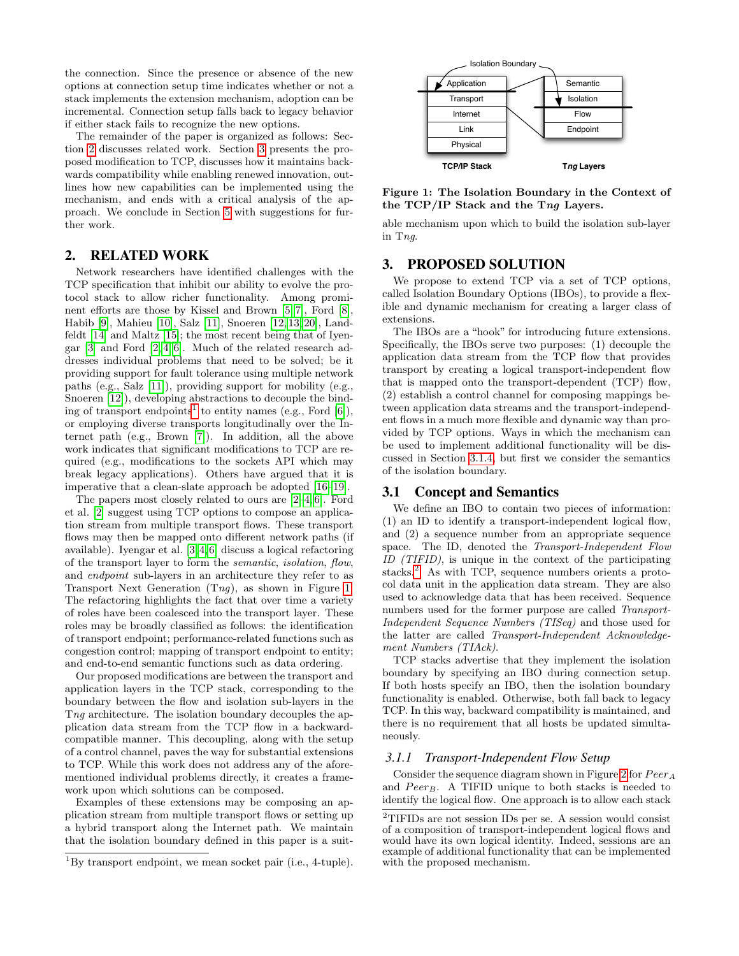the connection. Since the presence or absence of the new options at connection setup time indicates whether or not a stack implements the extension mechanism, adoption can be incremental. Connection setup falls back to legacy behavior if either stack fails to recognize the new options.

The remainder of the paper is organized as follows: Section [2](#page-1-0) discusses related work. Section [3](#page-1-1) presents the proposed modification to TCP, discusses how it maintains backwards compatibility while enabling renewed innovation, outlines how new capabilities can be implemented using the mechanism, and ends with a critical analysis of the approach. We conclude in Section [5](#page-5-13) with suggestions for further work.

## <span id="page-1-0"></span>2. RELATED WORK

Network researchers have identified challenges with the TCP specification that inhibit our ability to evolve the protocol stack to allow richer functionality. Among prominent efforts are those by Kissel and Brown [\[5,](#page-5-10) [7\]](#page-5-5), Ford [\[8\]](#page-5-11), Habib [\[9\]](#page-5-6), Mahieu [\[10\]](#page-5-14), Salz [\[11\]](#page-5-7), Snoeren [\[12,](#page-5-15) [13,](#page-5-16) [20\]](#page-5-17), Landfeldt [\[14\]](#page-5-18) and Maltz [\[15\]](#page-5-2); the most recent being that of Iyengar [\[3\]](#page-5-12) and Ford [\[2,](#page-5-1) [4,](#page-5-3) [6\]](#page-5-4). Much of the related research addresses individual problems that need to be solved; be it providing support for fault tolerance using multiple network paths (e.g., Salz [\[11\]](#page-5-7)), providing support for mobility (e.g., Snoeren [\[12\]](#page-5-15)), developing abstractions to decouple the bind-ing of transport endpoints<sup>[1](#page-1-2)</sup> to entity names (e.g., Ford [\[6\]](#page-5-4)), or employing diverse transports longitudinally over the Internet path (e.g., Brown [\[7\]](#page-5-5)). In addition, all the above work indicates that significant modifications to TCP are required (e.g., modifications to the sockets API which may break legacy applications). Others have argued that it is imperative that a clean-slate approach be adopted [\[16](#page-5-8)[–19\]](#page-5-9).

The papers most closely related to ours are [\[2–](#page-5-1)[4,](#page-5-3) [6\]](#page-5-4). Ford et al. [\[2\]](#page-5-1) suggest using TCP options to compose an application stream from multiple transport flows. These transport flows may then be mapped onto different network paths (if available). Iyengar et al. [\[3,](#page-5-12) [4,](#page-5-3) [6\]](#page-5-4) discuss a logical refactoring of the transport layer to form the semantic, isolation, flow, and endpoint sub-layers in an architecture they refer to as Transport Next Generation  $(Tng)$ , as shown in Figure [1.](#page-1-3) The refactoring highlights the fact that over time a variety of roles have been coalesced into the transport layer. These roles may be broadly classified as follows: the identification of transport endpoint; performance-related functions such as congestion control; mapping of transport endpoint to entity; and end-to-end semantic functions such as data ordering.

Our proposed modifications are between the transport and application layers in the TCP stack, corresponding to the boundary between the flow and isolation sub-layers in the Tng architecture. The isolation boundary decouples the application data stream from the TCP flow in a backwardcompatible manner. This decoupling, along with the setup of a control channel, paves the way for substantial extensions to TCP. While this work does not address any of the aforementioned individual problems directly, it creates a framework upon which solutions can be composed.

Examples of these extensions may be composing an application stream from multiple transport flows or setting up a hybrid transport along the Internet path. We maintain that the isolation boundary defined in this paper is a suit-



<span id="page-1-3"></span>Figure 1: The Isolation Boundary in the Context of the TCP/IP Stack and the Tng Layers.

able mechanism upon which to build the isolation sub-layer in Tng.

#### <span id="page-1-1"></span>3. PROPOSED SOLUTION

We propose to extend TCP via a set of TCP options, called Isolation Boundary Options (IBOs), to provide a flexible and dynamic mechanism for creating a larger class of extensions.

The IBOs are a "hook" for introducing future extensions. Specifically, the IBOs serve two purposes: (1) decouple the application data stream from the TCP flow that provides transport by creating a logical transport-independent flow that is mapped onto the transport-dependent (TCP) flow, (2) establish a control channel for composing mappings between application data streams and the transport-independent flows in a much more flexible and dynamic way than provided by TCP options. Ways in which the mechanism can be used to implement additional functionality will be discussed in Section [3.1.4,](#page-2-0) but first we consider the semantics of the isolation boundary.

#### 3.1 Concept and Semantics

We define an IBO to contain two pieces of information: (1) an ID to identify a transport-independent logical flow, and (2) a sequence number from an appropriate sequence space. The ID, denoted the Transport-Independent Flow ID (TIFID), is unique in the context of the participating stacks.<sup>[2](#page-1-4)</sup> As with TCP, sequence numbers orients a protocol data unit in the application data stream. They are also used to acknowledge data that has been received. Sequence numbers used for the former purpose are called Transport-Independent Sequence Numbers (TISeq) and those used for the latter are called Transport-Independent Acknowledgement Numbers (TIAck).

TCP stacks advertise that they implement the isolation boundary by specifying an IBO during connection setup. If both hosts specify an IBO, then the isolation boundary functionality is enabled. Otherwise, both fall back to legacy TCP. In this way, backward compatibility is maintained, and there is no requirement that all hosts be updated simultaneously.

#### <span id="page-1-5"></span>*3.1.1 Transport-Independent Flow Setup*

Consider the sequence diagram shown in Figure [2](#page-2-1) for  $Peer_A$ and  $Peer_B$ . A TIFID unique to both stacks is needed to identify the logical flow. One approach is to allow each stack

<span id="page-1-2"></span> ${}^{1}$ By transport endpoint, we mean socket pair (i.e., 4-tuple).

<span id="page-1-4"></span> $\rm ^2TIFIDs$  are not session IDs per se. A session would consist of a composition of transport-independent logical flows and would have its own logical identity. Indeed, sessions are an example of additional functionality that can be implemented with the proposed mechanism.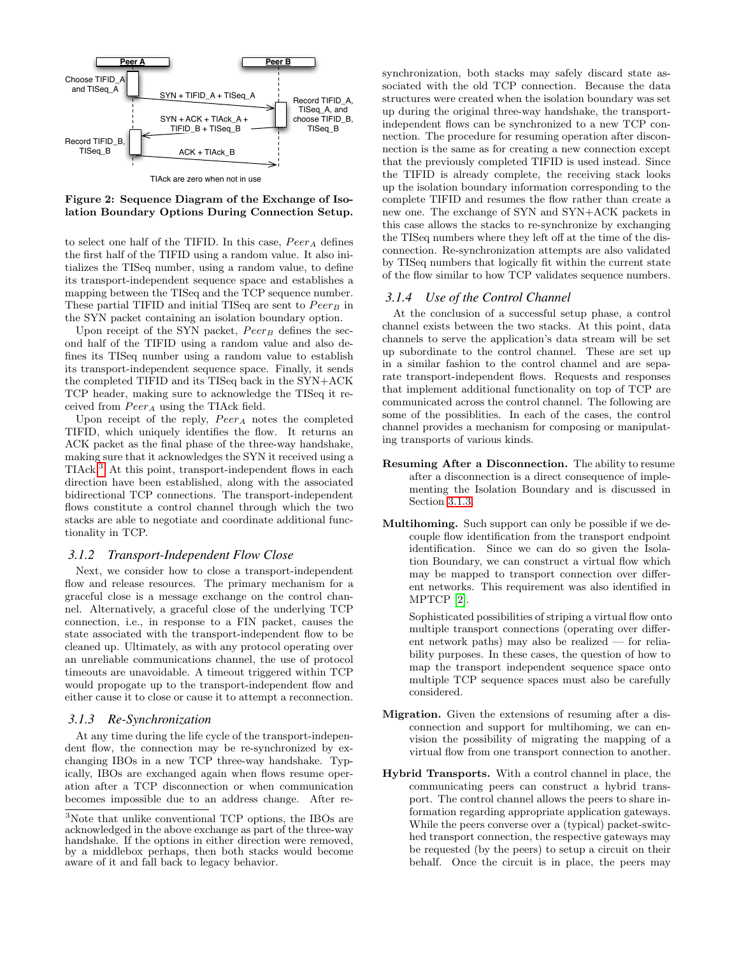

<span id="page-2-1"></span>TIAck are zero when not in use

Figure 2: Sequence Diagram of the Exchange of Isolation Boundary Options During Connection Setup.

to select one half of the TIFID. In this case,  $Peer_A$  defines the first half of the TIFID using a random value. It also initializes the TISeq number, using a random value, to define its transport-independent sequence space and establishes a mapping between the TISeq and the TCP sequence number. These partial TIFID and initial TISeq are sent to  $Peer_B$  in the SYN packet containing an isolation boundary option.

Upon receipt of the SYN packet,  $Peer_B$  defines the second half of the TIFID using a random value and also defines its TISeq number using a random value to establish its transport-independent sequence space. Finally, it sends the completed TIFID and its TISeq back in the SYN+ACK TCP header, making sure to acknowledge the TISeq it received from  $Peer_A$  using the TIAck field.

Upon receipt of the reply,  $Peer_A$  notes the completed TIFID, which uniquely identifies the flow. It returns an ACK packet as the final phase of the three-way handshake, making sure that it acknowledges the SYN it received using a TIAck.[3](#page-2-2) At this point, transport-independent flows in each direction have been established, along with the associated bidirectional TCP connections. The transport-independent flows constitute a control channel through which the two stacks are able to negotiate and coordinate additional functionality in TCP.

#### *3.1.2 Transport-Independent Flow Close*

Next, we consider how to close a transport-independent flow and release resources. The primary mechanism for a graceful close is a message exchange on the control channel. Alternatively, a graceful close of the underlying TCP connection, i.e., in response to a FIN packet, causes the state associated with the transport-independent flow to be cleaned up. Ultimately, as with any protocol operating over an unreliable communications channel, the use of protocol timeouts are unavoidable. A timeout triggered within TCP would propogate up to the transport-independent flow and either cause it to close or cause it to attempt a reconnection.

#### <span id="page-2-3"></span>*3.1.3 Re-Synchronization*

At any time during the life cycle of the transport-independent flow, the connection may be re-synchronized by exchanging IBOs in a new TCP three-way handshake. Typically, IBOs are exchanged again when flows resume operation after a TCP disconnection or when communication becomes impossible due to an address change. After resynchronization, both stacks may safely discard state associated with the old TCP connection. Because the data structures were created when the isolation boundary was set up during the original three-way handshake, the transportindependent flows can be synchronized to a new TCP connection. The procedure for resuming operation after disconnection is the same as for creating a new connection except that the previously completed TIFID is used instead. Since the TIFID is already complete, the receiving stack looks up the isolation boundary information corresponding to the complete TIFID and resumes the flow rather than create a new one. The exchange of SYN and SYN+ACK packets in this case allows the stacks to re-synchronize by exchanging the TISeq numbers where they left off at the time of the disconnection. Re-synchronization attempts are also validated by TISeq numbers that logically fit within the current state of the flow similar to how TCP validates sequence numbers.

#### <span id="page-2-0"></span>*3.1.4 Use of the Control Channel*

At the conclusion of a successful setup phase, a control channel exists between the two stacks. At this point, data channels to serve the application's data stream will be set up subordinate to the control channel. These are set up in a similar fashion to the control channel and are separate transport-independent flows. Requests and responses that implement additional functionality on top of TCP are communicated across the control channel. The following are some of the possiblities. In each of the cases, the control channel provides a mechanism for composing or manipulating transports of various kinds.

- Resuming After a Disconnection. The ability to resume after a disconnection is a direct consequence of implementing the Isolation Boundary and is discussed in Section [3.1.3.](#page-2-3)
- Multihoming. Such support can only be possible if we decouple flow identification from the transport endpoint identification. Since we can do so given the Isolation Boundary, we can construct a virtual flow which may be mapped to transport connection over different networks. This requirement was also identified in MPTCP [\[2\]](#page-5-1).

Sophisticated possibilities of striping a virtual flow onto multiple transport connections (operating over different network paths) may also be realized — for reliability purposes. In these cases, the question of how to map the transport independent sequence space onto multiple TCP sequence spaces must also be carefully considered.

- Migration. Given the extensions of resuming after a disconnection and support for multihoming, we can envision the possibility of migrating the mapping of a virtual flow from one transport connection to another.
- Hybrid Transports. With a control channel in place, the communicating peers can construct a hybrid transport. The control channel allows the peers to share information regarding appropriate application gateways. While the peers converse over a (typical) packet-switched transport connection, the respective gateways may be requested (by the peers) to setup a circuit on their behalf. Once the circuit is in place, the peers may

<span id="page-2-2"></span><sup>3</sup>Note that unlike conventional TCP options, the IBOs are acknowledged in the above exchange as part of the three-way handshake. If the options in either direction were removed, by a middlebox perhaps, then both stacks would become aware of it and fall back to legacy behavior.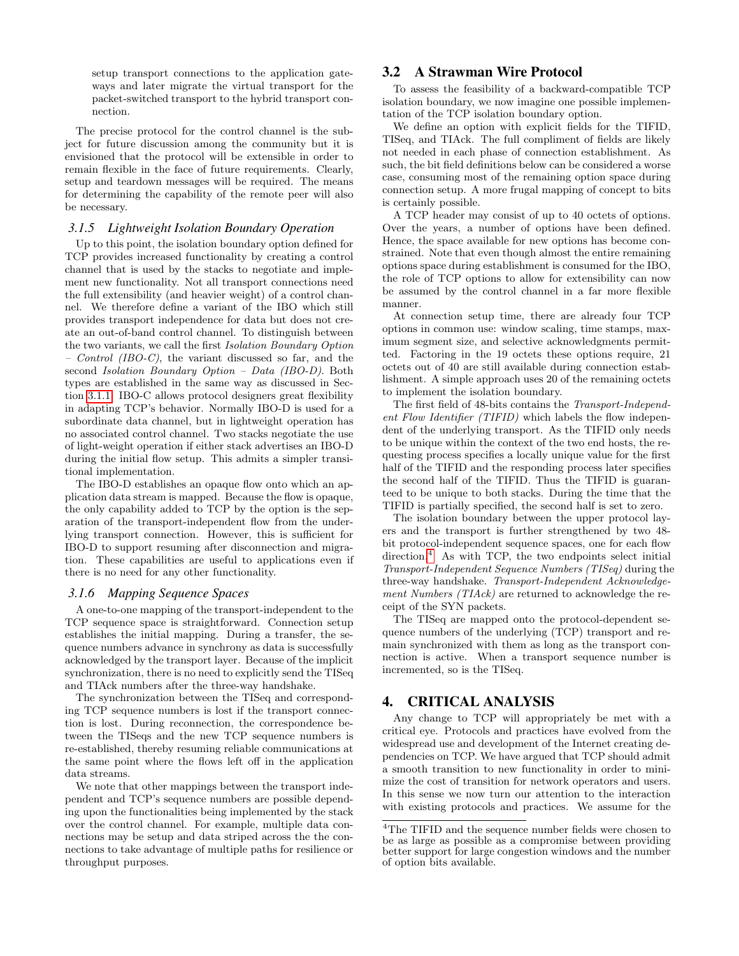setup transport connections to the application gateways and later migrate the virtual transport for the packet-switched transport to the hybrid transport connection.

The precise protocol for the control channel is the subject for future discussion among the community but it is envisioned that the protocol will be extensible in order to remain flexible in the face of future requirements. Clearly, setup and teardown messages will be required. The means for determining the capability of the remote peer will also be necessary.

#### *3.1.5 Lightweight Isolation Boundary Operation*

Up to this point, the isolation boundary option defined for TCP provides increased functionality by creating a control channel that is used by the stacks to negotiate and implement new functionality. Not all transport connections need the full extensibility (and heavier weight) of a control channel. We therefore define a variant of the IBO which still provides transport independence for data but does not create an out-of-band control channel. To distinguish between the two variants, we call the first Isolation Boundary Option  $\sim$  Control (IBO-C), the variant discussed so far, and the second Isolation Boundary Option – Data (IBO-D). Both types are established in the same way as discussed in Section [3.1.1.](#page-1-5) IBO-C allows protocol designers great flexibility in adapting TCP's behavior. Normally IBO-D is used for a subordinate data channel, but in lightweight operation has no associated control channel. Two stacks negotiate the use of light-weight operation if either stack advertises an IBO-D during the initial flow setup. This admits a simpler transitional implementation.

The IBO-D establishes an opaque flow onto which an application data stream is mapped. Because the flow is opaque, the only capability added to TCP by the option is the separation of the transport-independent flow from the underlying transport connection. However, this is sufficient for IBO-D to support resuming after disconnection and migration. These capabilities are useful to applications even if there is no need for any other functionality.

#### *3.1.6 Mapping Sequence Spaces*

A one-to-one mapping of the transport-independent to the TCP sequence space is straightforward. Connection setup establishes the initial mapping. During a transfer, the sequence numbers advance in synchrony as data is successfully acknowledged by the transport layer. Because of the implicit synchronization, there is no need to explicitly send the TISeq and TIAck numbers after the three-way handshake.

The synchronization between the TISeq and corresponding TCP sequence numbers is lost if the transport connection is lost. During reconnection, the correspondence between the TISeqs and the new TCP sequence numbers is re-established, thereby resuming reliable communications at the same point where the flows left off in the application data streams.

We note that other mappings between the transport independent and TCP's sequence numbers are possible depending upon the functionalities being implemented by the stack over the control channel. For example, multiple data connections may be setup and data striped across the the connections to take advantage of multiple paths for resilience or throughput purposes.

# 3.2 A Strawman Wire Protocol

To assess the feasibility of a backward-compatible TCP isolation boundary, we now imagine one possible implementation of the TCP isolation boundary option.

We define an option with explicit fields for the TIFID, TISeq, and TIAck. The full compliment of fields are likely not needed in each phase of connection establishment. As such, the bit field definitions below can be considered a worse case, consuming most of the remaining option space during connection setup. A more frugal mapping of concept to bits is certainly possible.

A TCP header may consist of up to 40 octets of options. Over the years, a number of options have been defined. Hence, the space available for new options has become constrained. Note that even though almost the entire remaining options space during establishment is consumed for the IBO, the role of TCP options to allow for extensibility can now be assumed by the control channel in a far more flexible manner.

At connection setup time, there are already four TCP options in common use: window scaling, time stamps, maximum segment size, and selective acknowledgments permitted. Factoring in the 19 octets these options require, 21 octets out of 40 are still available during connection establishment. A simple approach uses 20 of the remaining octets to implement the isolation boundary.

The first field of 48-bits contains the Transport-Independent Flow Identifier (TIFID) which labels the flow independent of the underlying transport. As the TIFID only needs to be unique within the context of the two end hosts, the requesting process specifies a locally unique value for the first half of the TIFID and the responding process later specifies the second half of the TIFID. Thus the TIFID is guaranteed to be unique to both stacks. During the time that the TIFID is partially specified, the second half is set to zero.

The isolation boundary between the upper protocol layers and the transport is further strengthened by two 48 bit protocol-independent sequence spaces, one for each flow direction.<sup>[4](#page-3-0)</sup> As with TCP, the two endpoints select initial Transport-Independent Sequence Numbers (TISeq) during the three-way handshake. Transport-Independent Acknowledgement Numbers (TIAck) are returned to acknowledge the receipt of the SYN packets.

The TISeq are mapped onto the protocol-dependent sequence numbers of the underlying (TCP) transport and remain synchronized with them as long as the transport connection is active. When a transport sequence number is incremented, so is the TISeq.

## 4. CRITICAL ANALYSIS

Any change to TCP will appropriately be met with a critical eye. Protocols and practices have evolved from the widespread use and development of the Internet creating dependencies on TCP. We have argued that TCP should admit a smooth transition to new functionality in order to minimize the cost of transition for network operators and users. In this sense we now turn our attention to the interaction with existing protocols and practices. We assume for the

<span id="page-3-0"></span> ${}^{4}\mathrm{The}$  TIFID and the sequence number fields were chosen to be as large as possible as a compromise between providing better support for large congestion windows and the number of option bits available.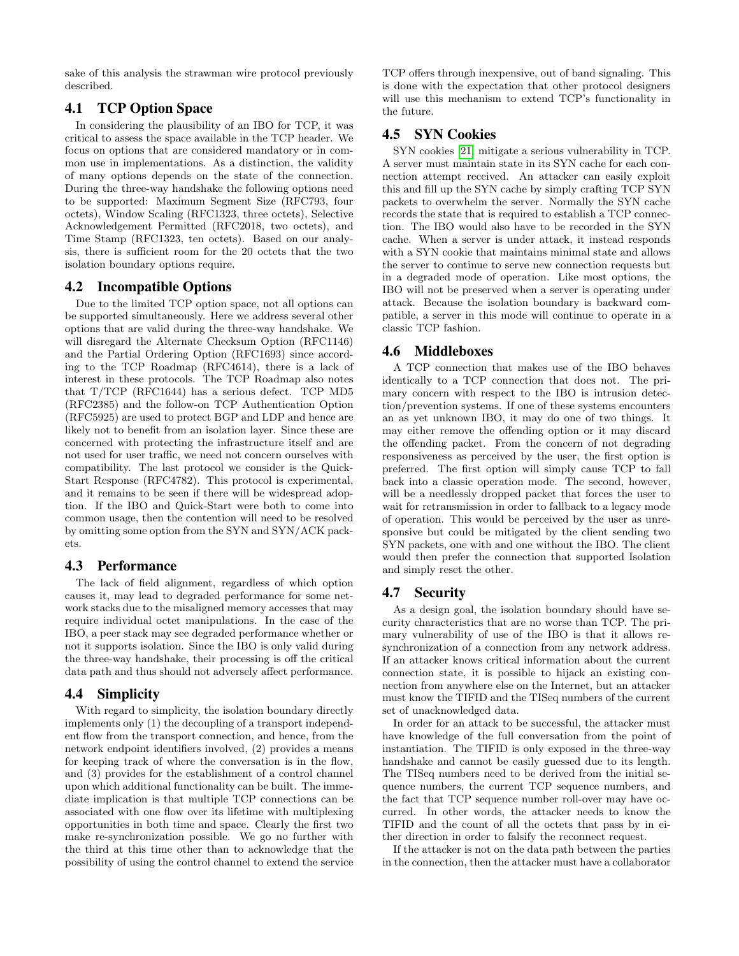sake of this analysis the strawman wire protocol previously described.

# 4.1 TCP Option Space

In considering the plausibility of an IBO for TCP, it was critical to assess the space available in the TCP header. We focus on options that are considered mandatory or in common use in implementations. As a distinction, the validity of many options depends on the state of the connection. During the three-way handshake the following options need to be supported: Maximum Segment Size (RFC793, four octets), Window Scaling (RFC1323, three octets), Selective Acknowledgement Permitted (RFC2018, two octets), and Time Stamp (RFC1323, ten octets). Based on our analysis, there is sufficient room for the 20 octets that the two isolation boundary options require.

## 4.2 Incompatible Options

Due to the limited TCP option space, not all options can be supported simultaneously. Here we address several other options that are valid during the three-way handshake. We will disregard the Alternate Checksum Option (RFC1146) and the Partial Ordering Option (RFC1693) since according to the TCP Roadmap (RFC4614), there is a lack of interest in these protocols. The TCP Roadmap also notes that T/TCP (RFC1644) has a serious defect. TCP MD5 (RFC2385) and the follow-on TCP Authentication Option (RFC5925) are used to protect BGP and LDP and hence are likely not to benefit from an isolation layer. Since these are concerned with protecting the infrastructure itself and are not used for user traffic, we need not concern ourselves with compatibility. The last protocol we consider is the Quick-Start Response (RFC4782). This protocol is experimental, and it remains to be seen if there will be widespread adoption. If the IBO and Quick-Start were both to come into common usage, then the contention will need to be resolved by omitting some option from the SYN and SYN/ACK packets.

## 4.3 Performance

The lack of field alignment, regardless of which option causes it, may lead to degraded performance for some network stacks due to the misaligned memory accesses that may require individual octet manipulations. In the case of the IBO, a peer stack may see degraded performance whether or not it supports isolation. Since the IBO is only valid during the three-way handshake, their processing is off the critical data path and thus should not adversely affect performance.

# 4.4 Simplicity

With regard to simplicity, the isolation boundary directly implements only (1) the decoupling of a transport independent flow from the transport connection, and hence, from the network endpoint identifiers involved, (2) provides a means for keeping track of where the conversation is in the flow, and (3) provides for the establishment of a control channel upon which additional functionality can be built. The immediate implication is that multiple TCP connections can be associated with one flow over its lifetime with multiplexing opportunities in both time and space. Clearly the first two make re-synchronization possible. We go no further with the third at this time other than to acknowledge that the possibility of using the control channel to extend the service TCP offers through inexpensive, out of band signaling. This is done with the expectation that other protocol designers will use this mechanism to extend TCP's functionality in the future.

# 4.5 SYN Cookies

SYN cookies [\[21\]](#page-5-19) mitigate a serious vulnerability in TCP. A server must maintain state in its SYN cache for each connection attempt received. An attacker can easily exploit this and fill up the SYN cache by simply crafting TCP SYN packets to overwhelm the server. Normally the SYN cache records the state that is required to establish a TCP connection. The IBO would also have to be recorded in the SYN cache. When a server is under attack, it instead responds with a SYN cookie that maintains minimal state and allows the server to continue to serve new connection requests but in a degraded mode of operation. Like most options, the IBO will not be preserved when a server is operating under attack. Because the isolation boundary is backward compatible, a server in this mode will continue to operate in a classic TCP fashion.

# 4.6 Middleboxes

A TCP connection that makes use of the IBO behaves identically to a TCP connection that does not. The primary concern with respect to the IBO is intrusion detection/prevention systems. If one of these systems encounters an as yet unknown IBO, it may do one of two things. It may either remove the offending option or it may discard the offending packet. From the concern of not degrading responsiveness as perceived by the user, the first option is preferred. The first option will simply cause TCP to fall back into a classic operation mode. The second, however, will be a needlessly dropped packet that forces the user to wait for retransmission in order to fallback to a legacy mode of operation. This would be perceived by the user as unresponsive but could be mitigated by the client sending two SYN packets, one with and one without the IBO. The client would then prefer the connection that supported Isolation and simply reset the other.

## 4.7 Security

As a design goal, the isolation boundary should have security characteristics that are no worse than TCP. The primary vulnerability of use of the IBO is that it allows resynchronization of a connection from any network address. If an attacker knows critical information about the current connection state, it is possible to hijack an existing connection from anywhere else on the Internet, but an attacker must know the TIFID and the TISeq numbers of the current set of unacknowledged data.

In order for an attack to be successful, the attacker must have knowledge of the full conversation from the point of instantiation. The TIFID is only exposed in the three-way handshake and cannot be easily guessed due to its length. The TISeq numbers need to be derived from the initial sequence numbers, the current TCP sequence numbers, and the fact that TCP sequence number roll-over may have occurred. In other words, the attacker needs to know the TIFID and the count of all the octets that pass by in either direction in order to falsify the reconnect request.

If the attacker is not on the data path between the parties in the connection, then the attacker must have a collaborator